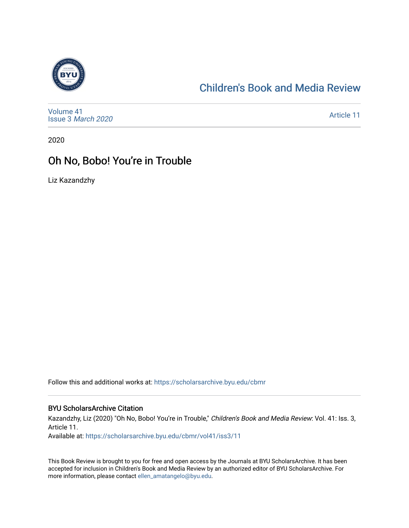

### [Children's Book and Media Review](https://scholarsarchive.byu.edu/cbmr)

[Volume 41](https://scholarsarchive.byu.edu/cbmr/vol41) Issue 3 [March 2020](https://scholarsarchive.byu.edu/cbmr/vol41/iss3)

[Article 11](https://scholarsarchive.byu.edu/cbmr/vol41/iss3/11) 

2020

#### Oh No, Bobo! You're in Trouble

Liz Kazandzhy

Follow this and additional works at: [https://scholarsarchive.byu.edu/cbmr](https://scholarsarchive.byu.edu/cbmr?utm_source=scholarsarchive.byu.edu%2Fcbmr%2Fvol41%2Fiss3%2F11&utm_medium=PDF&utm_campaign=PDFCoverPages) 

#### BYU ScholarsArchive Citation

Kazandzhy, Liz (2020) "Oh No, Bobo! You're in Trouble," Children's Book and Media Review: Vol. 41: Iss. 3, Article 11.

Available at: [https://scholarsarchive.byu.edu/cbmr/vol41/iss3/11](https://scholarsarchive.byu.edu/cbmr/vol41/iss3/11?utm_source=scholarsarchive.byu.edu%2Fcbmr%2Fvol41%2Fiss3%2F11&utm_medium=PDF&utm_campaign=PDFCoverPages)

This Book Review is brought to you for free and open access by the Journals at BYU ScholarsArchive. It has been accepted for inclusion in Children's Book and Media Review by an authorized editor of BYU ScholarsArchive. For more information, please contact [ellen\\_amatangelo@byu.edu.](mailto:ellen_amatangelo@byu.edu)